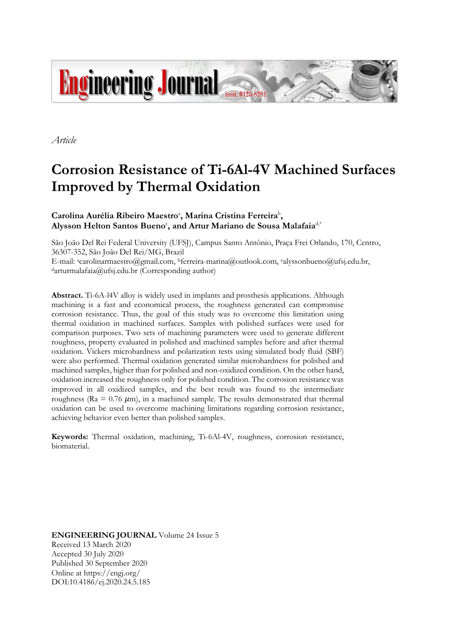

*Article*

# **Corrosion Resistance of Ti-6Al-4V Machined Surfaces Improved by Thermal Oxidation**

# Carolina Aurélia Ribeiro Maestro<sup>a</sup>, Marina Cristina Ferreira<sup>b</sup>,  $\bold{A}$ lysson Helton Santos Bueno<sup>c</sup>, and Artur Mariano de Sousa Malafaia<sup>d,\*</sup>

São João Del Rei Federal University (UFSJ), Campus Santo Antônio, Praça Frei Orlando, 170, Centro, 36307-352, São João Del Rei/MG, Brazil

E-mail: acarolinarmaestro@gmail.com, <sup>b</sup>ferreira-marina@outlook.com, calyssonbueno@ufsj.edu.br, <sup>d</sup>arturmalafaia@ufsj.edu.br (Corresponding author)

**Abstract.** Ti-6A-l4V alloy is widely used in implants and prosthesis applications. Although machining is a fast and economical process, the roughness generated can compromise corrosion resistance. Thus, the goal of this study was to overcome this limitation using thermal oxidation in machined surfaces. Samples with polished surfaces were used for comparison purposes. Two sets of machining parameters were used to generate different roughness, property evaluated in polished and machined samples before and after thermal oxidation. Vickers microhardness and polarization tests using simulated body fluid (SBF) were also performed. Thermal oxidation generated similar microhardness for polished and machined samples, higher than for polished and non-oxidized condition. On the other hand, oxidation increased the roughness only for polished condition. The corrosion resistance was improved in all oxidized samples, and the best result was found to the intermediate roughness ( $Ra = 0.76 \ \mu m$ ), in a machined sample. The results demonstrated that thermal oxidation can be used to overcome machining limitations regarding corrosion resistance, achieving behavior even better than polished samples.

**Keywords:** Thermal oxidation, machining, Ti-6Al-4V, roughness, corrosion resistance, biomaterial.

**ENGINEERING JOURNAL** Volume 24 Issue 5 Received 13 March 2020 Accepted 30 July 2020 Published 30 September 2020 Online at https://engj.org/ DOI:10.4186/ej.2020.24.5.185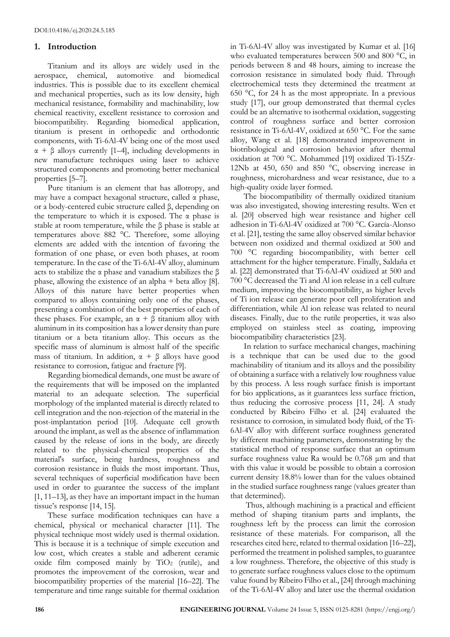#### **1. Introduction**

Titanium and its alloys are widely used in the aerospace, chemical, automotive and biomedical industries. This is possible due to its excellent chemical and mechanical properties, such as its low density, high mechanical resistance, formability and machinability, low chemical reactivity, excellent resistance to corrosion and biocompatibility. Regarding biomedical application, titanium is present in orthopedic and orthodontic components, with Ti-6Al-4V being one of the most used  $\alpha + \beta$  alloys currently [1–4], including developments in new manufacture techniques using laser to achieve structured components and promoting better mechanical properties [5–7].

Pure titanium is an element that has allotropy, and may have a compact hexagonal structure, called α phase, or a body-centered cubic structure called β, depending on the temperature to which it is exposed. The  $\alpha$  phase is stable at room temperature, while the β phase is stable at temperatures above 882 °C. Therefore, some alloying elements are added with the intention of favoring the formation of one phase, or even both phases, at room temperature. In the case of the Ti-6Al-4V alloy, aluminum acts to stabilize the  $\alpha$  phase and vanadium stabilizes the  $\beta$ phase, allowing the existence of an alpha + beta alloy [8]. Alloys of this nature have better properties when compared to alloys containing only one of the phases, presenting a combination of the best properties of each of these phases. For example, an  $\alpha + \beta$  titanium alloy with aluminum in its composition has a lower density than pure titanium or a beta titanium alloy. This occurs as the specific mass of aluminum is almost half of the specific mass of titanium. In addition,  $\alpha + \beta$  alloys have good resistance to corrosion, fatigue and fracture [9].

Regarding biomedical demands, one must be aware of the requirements that will be imposed on the implanted material to an adequate selection. The superficial morphology of the implanted material is directly related to cell integration and the non-rejection of the material in the post-implantation period [10]. Adequate cell growth around the implant, as well as the absence of inflammation caused by the release of ions in the body, are directly related to the physical-chemical properties of the material's surface, being hardness, roughness and corrosion resistance in fluids the most important. Thus, several techniques of superficial modification have been used in order to guarantee the success of the implant [1, 11–13], as they have an important impact in the human tissue's response [14, 15].

These surface modification techniques can have a chemical, physical or mechanical character [11]. The physical technique most widely used is thermal oxidation. This is because it is a technique of simple execution and low cost, which creates a stable and adherent ceramic oxide film composed mainly by  $TiO<sub>2</sub>$  (rutile), and promotes the improvement of the corrosion, wear and biocompatibility properties of the material [16–22]. The temperature and time range suitable for thermal oxidation in Ti-6Al-4V alloy was investigated by Kumar et al. [16] who evaluated temperatures between 500 and 800 °C, in periods between 8 and 48 hours, aiming to increase the corrosion resistance in simulated body fluid. Through electrochemical tests they determined the treatment at 650 °C, for 24 h as the most appropriate. In a previous study [17], our group demonstrated that thermal cycles could be an alternative to isothermal oxidation, suggesting control of roughness surface and better corrosion resistance in Ti-6Al-4V, oxidized at 650 °C. For the same alloy, Wang et al. [18] demonstrated improvement in biotribological and corrosion behavior after thermal oxidation at 700 °C. Mohammed [19] oxidized Ti-15Zr-12Nb at 450, 650 and 850 °C, observing increase in roughness, microhardness and wear resistance, due to a high-quality oxide layer formed.

The biocompatibility of thermally oxidized titanium was also investigated, showing interesting results. Wen et al. [20] observed high wear resistance and higher cell adhesion in Ti-6Al-4V oxidized at 700 °C. García-Alonso et al. [21], testing the same alloy observed similar behavior between non oxidized and thermal oxidized at 500 and 700 °C regarding biocompatibility, with better cell attachment for the higher temperature. Finally, Saldaña et al. [22] demonstrated that Ti-6Al-4V oxidized at 500 and 700 °C decreased the Ti and Al ion release in a cell culture medium, improving the biocompatibility, as higher levels of Ti ion release can generate poor cell proliferation and differentiation, while Al ion release was related to neural diseases. Finally, due to the rutile properties, it was also employed on stainless steel as coating, improving biocompatibility characteristics [23].

In relation to surface mechanical changes, machining is a technique that can be used due to the good machinability of titanium and its alloys and the possibility of obtaining a surface with a relatively low roughness value by this process. A less rough surface finish is important for bio applications, as it guarantees less surface friction, thus reducing the corrosive process [11, 24]. A study conducted by Ribeiro Filho et al. [24] evaluated the resistance to corrosion, in simulated body fluid, of the Ti-6Al-4V alloy with different surface roughness generated by different machining parameters, demonstrating by the statistical method of response surface that an optimum surface roughness value Ra would be 0.768 μm and that with this value it would be possible to obtain a corrosion current density 18.8% lower than for the values obtained in the studied surface roughness range (values greater than that determined).

Thus, although machining is a practical and efficient method of shaping titanium parts and implants, the roughness left by the process can limit the corrosion resistance of these materials. For comparison, all the researches cited here, related to thermal oxidation [16–22], performed the treatment in polished samples, to guarantee a low roughness. Therefore, the objective of this study is to generate surface roughness values close to the optimum value found by Ribeiro Filho et al., [24] through machining of the Ti-6Al-4V alloy and later use the thermal oxidation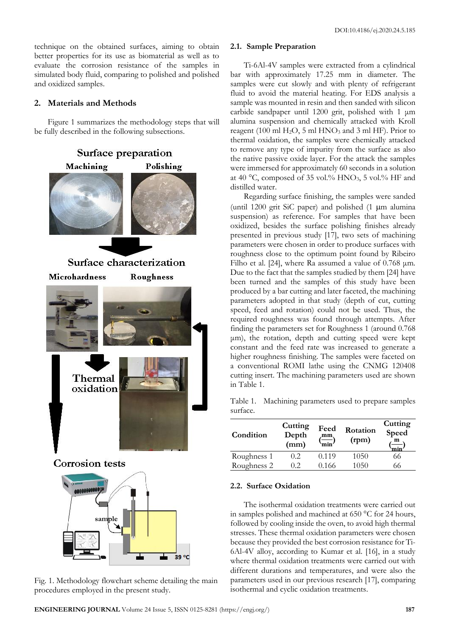technique on the obtained surfaces, aiming to obtain better properties for its use as biomaterial as well as to evaluate the corrosion resistance of the samples in simulated body fluid, comparing to polished and polished and oxidized samples.

# **2. Materials and Methods**

Figure 1 summarizes the methodology steps that will be fully described in the following subsections.



Fig. 1. Methodology flowchart scheme detailing the main procedures employed in the present study.

### **2.1. Sample Preparation**

Ti-6Al-4V samples were extracted from a cylindrical bar with approximately 17.25 mm in diameter. The samples were cut slowly and with plenty of refrigerant fluid to avoid the material heating. For EDS analysis a sample was mounted in resin and then sanded with silicon carbide sandpaper until 1200 grit, polished with 1 μm alumina suspension and chemically attacked with Kroll reagent (100 ml  $H<sub>2</sub>O$ , 5 ml  $HNO<sub>3</sub>$  and 3 ml HF). Prior to thermal oxidation, the samples were chemically attacked to remove any type of impurity from the surface as also the native passive oxide layer. For the attack the samples were immersed for approximately 60 seconds in a solution at 40 °C, composed of 35 vol.% HNO3, 5 vol.% HF and distilled water.

Regarding surface finishing, the samples were sanded (until 1200 grit SiC paper) and polished  $(1 \mu m)$  alumina suspension) as reference. For samples that have been oxidized, besides the surface polishing finishes already presented in previous study [17], two sets of machining parameters were chosen in order to produce surfaces with roughness close to the optimum point found by Ribeiro Filho et al. [24], where Ra assumed a value of 0.768 μm. Due to the fact that the samples studied by them [24] have been turned and the samples of this study have been produced by a bar cutting and later faceted, the machining parameters adopted in that study (depth of cut, cutting speed, feed and rotation) could not be used. Thus, the required roughness was found through attempts. After finding the parameters set for Roughness 1 (around 0.768 μm), the rotation, depth and cutting speed were kept constant and the feed rate was increased to generate a higher roughness finishing. The samples were faceted on a conventional ROMI lathe using the CNMG 120408 cutting insert. The machining parameters used are shown in Table 1.

Table 1. Machining parameters used to prepare samples surface.

| Condition   | Cutting<br>Depth<br>(mm) | Feed<br>mm<br>`min <sup>/</sup> | Rotation<br>(rpm) | Cutting<br>Speed<br>$\mathbf{m}$<br>min |
|-------------|--------------------------|---------------------------------|-------------------|-----------------------------------------|
| Roughness 1 | 0.2                      | 0.119                           | 1050              | 66                                      |
| Roughness 2 | 02                       | 0.166                           | 1050              | 66                                      |

## **2.2. Surface Oxidation**

The isothermal oxidation treatments were carried out in samples polished and machined at 650 °C for 24 hours, followed by cooling inside the oven, to avoid high thermal stresses. These thermal oxidation parameters were chosen because they provided the best corrosion resistance for Ti-6Al-4V alloy, according to Kumar et al. [16], in a study where thermal oxidation treatments were carried out with different durations and temperatures, and were also the parameters used in our previous research [17], comparing isothermal and cyclic oxidation treatments.

39 °C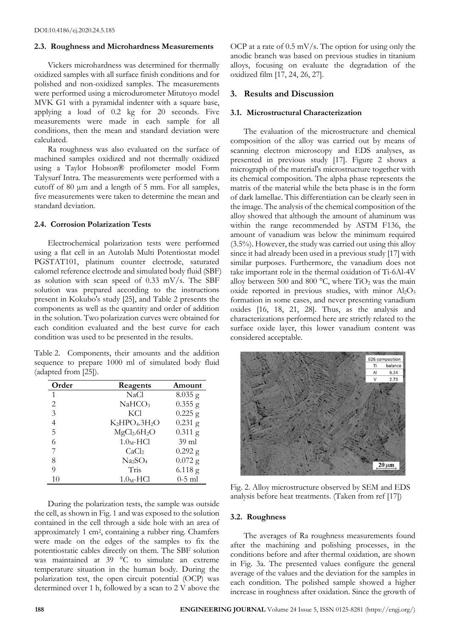#### **2.3. Roughness and Microhardness Measurements**

Vickers microhardness was determined for thermally oxidized samples with all surface finish conditions and for polished and non-oxidized samples. The measurements were performed using a microdurometer Mitutoyo model MVK G1 with a pyramidal indenter with a square base, applying a load of 0.2 kg for 20 seconds. Five measurements were made in each sample for all conditions, then the mean and standard deviation were calculated.

Ra roughness was also evaluated on the surface of machined samples oxidized and not thermally oxidized using a Taylor Hobson® profilometer model Form Talysurf Intra. The measurements were performed with a cutoff of 80 μm and a length of 5 mm. For all samples, five measurements were taken to determine the mean and standard deviation.

#### **2.4. Corrosion Polarization Tests**

Electrochemical polarization tests were performed using a flat cell in an Autolab Multi Potentiostat model PGSTAT101, platinum counter electrode, saturated calomel reference electrode and simulated body fluid (SBF) as solution with scan speed of 0.33 mV/s. The SBF solution was prepared according to the instructions present in Kokubo's study [25], and Table 2 presents the components as well as the quantity and order of addition in the solution. Two polarization curves were obtained for each condition evaluated and the best curve for each condition was used to be presented in the results.

Table 2. Components, their amounts and the addition sequence to prepare 1000 ml of simulated body fluid (adapted from [25]).

| Order | Reagents                             | Amount    |
|-------|--------------------------------------|-----------|
| 1     | NaCl                                 | $8.035$ g |
| 2     | NaHCO <sub>3</sub>                   | $0.355$ g |
| 3     | KCl                                  | $0.225$ g |
| 4     | $K_2HPO_4.3H_2O$                     | $0.231$ g |
| 5     | MgCl <sub>2</sub> .6H <sub>2</sub> O | $0.311$ g |
| 6     | $1.0M$ -HCl                          | $39$ ml   |
| 7     | CaCl <sub>2</sub>                    | $0.292$ g |
| 8     | Na <sub>2</sub> SO <sub>4</sub>      | $0.072$ g |
| 9     | Tris                                 | $6.118$ g |
| 10    | $1.0_M$ -HCl                         | $0-5$ ml  |

During the polarization tests, the sample was outside the cell, as shown in Fig. 1 and was exposed to the solution contained in the cell through a side hole with an area of approximately 1 cm<sup>2</sup> , containing a rubber ring. Chamfers were made on the edges of the samples to fix the potentiostatic cables directly on them. The SBF solution was maintained at  $39\degree C$  to simulate an extreme temperature situation in the human body. During the polarization test, the open circuit potential (OCP) was determined over 1 h, followed by a scan to 2 V above the

OCP at a rate of 0.5 mV/s. The option for using only the anodic branch was based on previous studies in titanium alloys, focusing on evaluate the degradation of the oxidized film [17, 24, 26, 27].

#### **3. Results and Discussion**

#### **3.1. Microstructural Characterization**

The evaluation of the microstructure and chemical composition of the alloy was carried out by means of scanning electron microscopy and EDS analyses, as presented in previous study [17]. Figure 2 shows a micrograph of the material's microstructure together with its chemical composition. The alpha phase represents the matrix of the material while the beta phase is in the form of dark lamellae. This differentiation can be clearly seen in the image. The analysis of the chemical composition of the alloy showed that although the amount of aluminum was within the range recommended by ASTM F136, the amount of vanadium was below the minimum required (3.5%). However, the study was carried out using this alloy since it had already been used in a previous study [17] with similar purposes. Furthermore, the vanadium does not take important role in the thermal oxidation of Ti-6Al-4V alloy between 500 and 800  $^{\circ}$ C, where TiO<sub>2</sub> was the main oxide reported in previous studies, with minor  $Al_2O_3$ formation in some cases, and never presenting vanadium oxides [16, 18, 21, 28]. Thus, as the analysis and characterizations performed here are strictly related to the surface oxide layer, this lower vanadium content was considered acceptable.



Fig. 2. Alloy microstructure observed by SEM and EDS analysis before heat treatments. (Taken from ref [17])

#### **3.2. Roughness**

The averages of Ra roughness measurements found after the machining and polishing processes, in the conditions before and after thermal oxidation, are shown in Fig. 3a. The presented values configure the general average of the values and the deviation for the samples in each condition. The polished sample showed a higher increase in roughness after oxidation. Since the growth of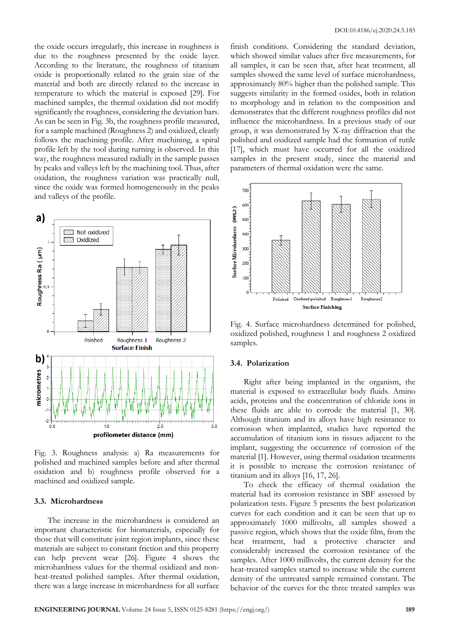the oxide occurs irregularly, this increase in roughness is due to the roughness presented by the oxide layer. According to the literature, the roughness of titanium oxide is proportionally related to the grain size of the material and both are directly related to the increase in temperature to which the material is exposed [29]. For machined samples, the thermal oxidation did not modify significantly the roughness, considering the deviation bars. As can be seen in Fig. 3b, the roughness profile measured, for a sample machined (Roughness 2) and oxidized, clearly follows the machining profile. After machining, a spiral profile left by the tool during turning is observed. In this way, the roughness measured radially in the sample passes by peaks and valleys left by the machining tool. Thus, after oxidation, the roughness variation was practically null, since the oxide was formed homogeneously in the peaks and valleys of the profile.



Fig. 3. Roughness analysis: a) Ra measurements for polished and machined samples before and after thermal oxidation and b) roughness profile observed for a machined and oxidized sample.

#### **3.3. Microhardness**

The increase in the microhardness is considered an important characteristic for biomaterials, especially for those that will constitute joint region implants, since these materials are subject to constant friction and this property can help prevent wear [26]. Figure 4 shows the microhardness values for the thermal oxidized and nonheat-treated polished samples. After thermal oxidation, there was a large increase in microhardness for all surface

finish conditions. Considering the standard deviation, which showed similar values after five measurements, for all samples, it can be seen that, after heat treatment, all samples showed the same level of surface microhardness, approximately 80% higher than the polished sample. This suggests similarity in the formed oxides, both in relation to morphology and in relation to the composition and demonstrates that the different roughness profiles did not influence the microhardness. In a previous study of our group, it was demonstrated by X-ray diffraction that the polished and oxidized sample had the formation of rutile [17], which must have occurred for all the oxidized samples in the present study, since the material and parameters of thermal oxidation were the same.



Fig. 4. Surface microhardness determined for polished, oxidized polished, roughness 1 and roughness 2 oxidized samples.

#### **3.4. Polarization**

Right after being implanted in the organism, the material is exposed to extracellular body fluids. Amino acids, proteins and the concentration of chloride ions in these fluids are able to corrode the material [1, 30]. Although titanium and its alloys have high resistance to corrosion when implanted, studies have reported the accumulation of titanium ions in tissues adjacent to the implant, suggesting the occurrence of corrosion of the material [1]. However, using thermal oxidation treatments it is possible to increase the corrosion resistance of titanium and its alloys [16, 17, 26].

To check the efficacy of thermal oxidation the material had its corrosion resistance in SBF assessed by polarization tests. Figure 5 presents the best polarization curves for each condition and it can be seen that up to approximately 1000 millivolts, all samples showed a passive region, which shows that the oxide film, from the heat treatment, had a protective character and considerably increased the corrosion resistance of the samples. After 1000 millivolts, the current density for the heat-treated samples started to increase while the current density of the untreated sample remained constant. The behavior of the curves for the three treated samples was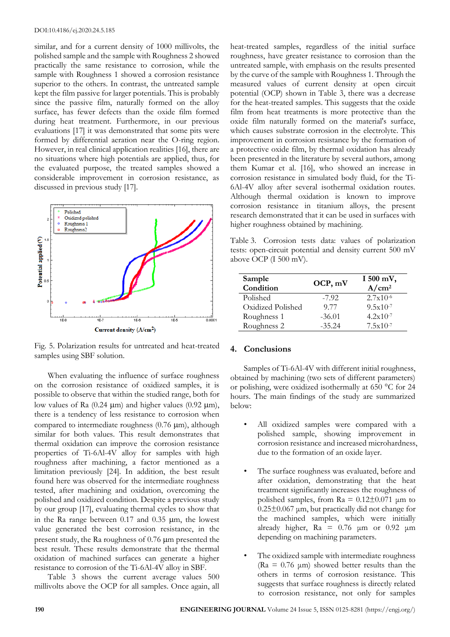similar, and for a current density of 1000 millivolts, the polished sample and the sample with Roughness 2 showed practically the same resistance to corrosion, while the sample with Roughness 1 showed a corrosion resistance superior to the others. In contrast, the untreated sample kept the film passive for larger potentials. This is probably since the passive film, naturally formed on the alloy surface, has fewer defects than the oxide film formed during heat treatment. Furthermore, in our previous evaluations [17] it was demonstrated that some pits were formed by differential aeration near the O-ring region. However, in real clinical application realities [16], there are no situations where high potentials are applied, thus, for the evaluated purpose, the treated samples showed a considerable improvement in corrosion resistance, as discussed in previous study [17].



Fig. 5. Polarization results for untreated and heat-treated samples using SBF solution.

When evaluating the influence of surface roughness on the corrosion resistance of oxidized samples, it is possible to observe that within the studied range, both for low values of Ra  $(0.24 \mu m)$  and higher values  $(0.92 \mu m)$ , there is a tendency of less resistance to corrosion when compared to intermediate roughness  $(0.76 \mu m)$ , although similar for both values. This result demonstrates that thermal oxidation can improve the corrosion resistance properties of Ti-6Al-4V alloy for samples with high roughness after machining, a factor mentioned as a limitation previously [24]. In addition, the best result found here was observed for the intermediate roughness tested, after machining and oxidation, overcoming the polished and oxidized condition. Despite a previous study by our group [17], evaluating thermal cycles to show that in the Ra range between  $0.17$  and  $0.35$   $\mu$ m, the lowest value generated the best corrosion resistance, in the present study, the Ra roughness of  $0.76 \mu m$  presented the best result. These results demonstrate that the thermal oxidation of machined surfaces can generate a higher resistance to corrosion of the Ti-6Al-4V alloy in SBF.

Table 3 shows the current average values 500 millivolts above the OCP for all samples. Once again, all heat-treated samples, regardless of the initial surface roughness, have greater resistance to corrosion than the untreated sample, with emphasis on the results presented by the curve of the sample with Roughness 1. Through the measured values of current density at open circuit potential (OCP) shown in Table 3, there was a decrease for the heat-treated samples. This suggests that the oxide film from heat treatments is more protective than the oxide film naturally formed on the material's surface, which causes substrate corrosion in the electrolyte. This improvement in corrosion resistance by the formation of a protective oxide film, by thermal oxidation has already been presented in the literature by several authors, among them Kumar et al. [16], who showed an increase in corrosion resistance in simulated body fluid, for the Ti-6Al-4V alloy after several isothermal oxidation routes. Although thermal oxidation is known to improve corrosion resistance in titanium alloys, the present research demonstrated that it can be used in surfaces with higher roughness obtained by machining.

Table 3. Corrosion tests data: values of polarization tests: open-circuit potential and density current 500 mV above OCP (I 500 mV).

| Sample<br>Condition | OCP, mV  | I 500 mV,<br>$A/cm^2$ |
|---------------------|----------|-----------------------|
| Polished            | $-7.92$  | $2.7x10^{-6}$         |
| Oxidized Polished   | 9.77     | $9.5x10^{-7}$         |
| Roughness 1         | $-36.01$ | $4.2x10^{-7}$         |
| Roughness 2         | $-35.24$ | $7.5x10-7$            |

# **4. Conclusions** .

Samples of Ti-6Al-4V with different initial roughness, obtained by machining (two sets of different parameters) or polishing, were oxidized isothermally at 650 °C for 24 hours. The main findings of the study are summarized below:

- All oxidized samples were compared with a polished sample, showing improvement in corrosion resistance and increased microhardness, due to the formation of an oxide layer.
- The surface roughness was evaluated, before and after oxidation, demonstrating that the heat treatment significantly increases the roughness of polished samples, from  $Ra = 0.12 \pm 0.071$  μm to 0.25±0.067 μm, but practically did not change for the machined samples, which were initially already higher,  $Ra = 0.76 \mu m$  or 0.92  $\mu m$ depending on machining parameters.
- The oxidized sample with intermediate roughness (Ra =  $0.76 \mu m$ ) showed better results than the others in terms of corrosion resistance. This suggests that surface roughness is directly related to corrosion resistance, not only for samples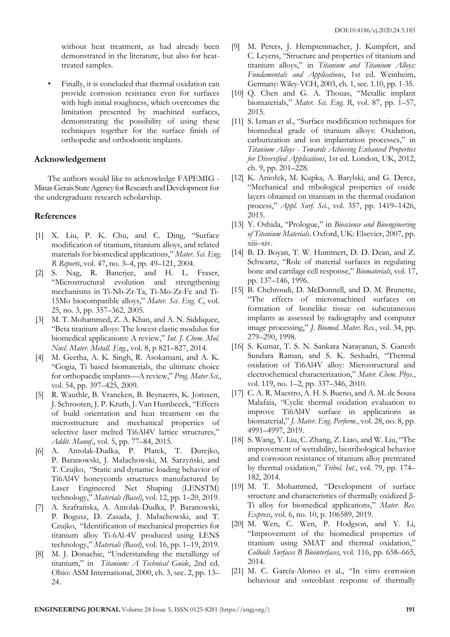without heat treatment, as had already been demonstrated in the literature, but also for heattreated samples.

Finally, it is concluded that thermal oxidation can provide corrosion resistance even for surfaces with high initial roughness, which overcomes the limitation presented by machined surfaces, demonstrating the possibility of using these techniques together for the surface finish of orthopedic and orthodontic implants.

#### **Acknowledgement**

The authors would like to acknowledge FAPEMIG - MinasGerais State Agency for Research and Development for the undergraduate research scholarship.

#### **References**

- [1] X. Liu, P. K. Chu, and C. Ding, "Surface modification of titanium, titanium alloys, and related materials for biomedical applications," *Mater. Sci. Eng. R Reports*, vol. 47, no. 3–4, pp. 49–121, 2004.
- [2] S. Nag, R. Banerjee, and H. L. Fraser, "Microstructural evolution and strengthening mechanisms in Ti-Nb-Zr-Ta, Ti-Mo-Zr-Fe and Ti-15Mo biocompatible alloys," *Mater. Sci. Eng. C*, vol. 25, no. 3, pp. 357–362, 2005.
- [3] M. T. Mohammed, Z. A. Khan, and A. N. Siddiquee, "Beta titanium alloys: The lowest elastic modulus for biomedical applications: A review," *Int. J. Chem. Mol. Nucl. Mater. Metall. Eng.*, vol. 8, p 821–827, 2014.
- [4] M. Geetha, A. K. Singh, R. Asokamani, and A. K. "Gogia, Ti based biomaterials, the ultimate choice for orthopaedic implants—A review," *Prog. Mater Sci.*, vol. 54, pp. 397–425, 2009.
- [5] R. Wauthle, B. Vrancken, B. Beynaerts, K. Jorissen, J. Schrooten, J. P. Kruth, J. Van Humbeeck, "Effects of build orientation and heat treatment on the microstructure and mechanical properties of selective laser melted Ti6Al4V lattice structures," *Addit. Manuf.*, vol. 5, pp. 77–84, 2015.
- [6] A. Antolak-Dudka, P. Płatek, T. Durejko, P. Baranowski, J. Małachowski, M. Sarzyński, and T. Czujko, "Static and dynamic loading behavior of Ti6Al4V honeycomb structures manufactured by Laser Engineered Net Shaping (LENSTM) technology," *Materials (Basel)*, vol. 12, pp. 1–20, 2019.
- [7] A. Szafrańska, A. Antolak-Dudka, P. Baranowski, P. Bogusz, D. Zasada, J. Małachowski, and T. Czujko, "Identification of mechanical properties for titanium alloy Ti-6Al-4V produced using LENS technology," *Materials (Basel)*, vol. 16, pp. 1–19, 2019.
- [8] M. J. Donachie, "Understanding the metallurgy of titanium," in *Titanium: A Technical Guide*, 2nd ed. Ohio: ASM International, 2000, ch. 3, sec. 2, pp. 13– 24.
- [9] M. Peters, J. Hemptenmacher, J. Kumpfert, and C. Leyens, "Structure and properties of titanium and titanium alloys," in *Titanium and Titanium Alloys: Fundamentals and Applications*, 1st ed. Weinheim, Germany: Wiley-VCH, 2003, ch. 1, sec. 1.10, pp. 1-35.
- [10] Q. Chen and G. A. Thouas, "Metallic implant biomaterials," *Mater. Sci. Eng. R*, vol. 87, pp. 1–57, 2015.
- [11] S. Izman et al., "Surface modification techniques for biomedical grade of titanium alloys: Oxidation, carburization and ion implantation processes," in *Titanium Alloys - Towards Achieving Enhanced Properties for Diversified Applications*, 1st ed. London, UK, 2012, ch. 9, pp. 201–228.
- [12] K. Aniołek, M. Kupka, A. Barylski, and G. Dercz, "Mechanical and tribological properties of oxide layers obtained on titanium in the thermal oxidation process," *Appl. Surf. Sci.*, vol. 357, pp. 1419–1426, 2015.
- [13] Y. Oshida, "Prologue," in *Bioscience and Bioengineering of Titanium Materials*. Oxford, UK: Elsevier, 2007, pp. xiii–xiv.
- [14] B. D. Boyan, T. W. Hummert, D. D. Dean, and Z. Schwartz, "Role of material surfaces in regulating bone and cartilage cell response," *Biomaterials*, vol. 17, pp. 137–146, 1996.
- [15] B. Chehroudi, D. McDonnell, and D. M. Brunette, "The effects of micromachined surfaces on formation of bonelike tissue on subcutaneous implants as assessed by radiography and computer image processing," *J. Biomed. Mater. Res.*, vol. 34, pp. 279–290, 1998.
- [16] S. Kumar, T. S. N. Sankara Narayanan, S. Ganesh Sundara Raman, and S. K. Seshadri, "Thermal oxidation of Ti6Al4V alloy: Microstructural and electrochemical characterization," *Mater. Chem. Phys.*, vol. 119, no. 1–2, pp. 337–346, 2010.
- [17] C. A. R. Maestro, A. H. S. Bueno, and A. M. de Sousa Malafaia, "Cyclic thermal oxidation evaluation to improve Ti6Al4V surface in applications as biomaterial," *J. Mater. Eng. Perform.*, vol. 28, no. 8, pp. 4991–4997, 2019.
- [18] S. Wang, Y. Liu, C. Zhang, Z. Liao, and W. Liu, "The improvement of wettability, biotribological behavior and corrosion resistance of titanium alloy pretreated by thermal oxidation," *Tribol. Int.*, vol. 79, pp. 174– 182, 2014.
- [19] M. T. Mohammed, "Development of surface structure and characteristics of thermally oxidized β-Ti alloy for biomedical applications," *Mater. Res. Express*, vol. 6, no. 10, p. 106589, 2019.
- [20] M. Wen, C. Wen, P. Hodgson, and Y. Li, "Improvement of the biomedical properties of titanium using SMAT and thermal oxidation," *Colloids Surfaces B Biointerfaces*, vol. 116, pp. 658–665, 2014.
- [21] M. C. García-Alonso et al., "In vitro corrosion behaviour and osteoblast response of thermally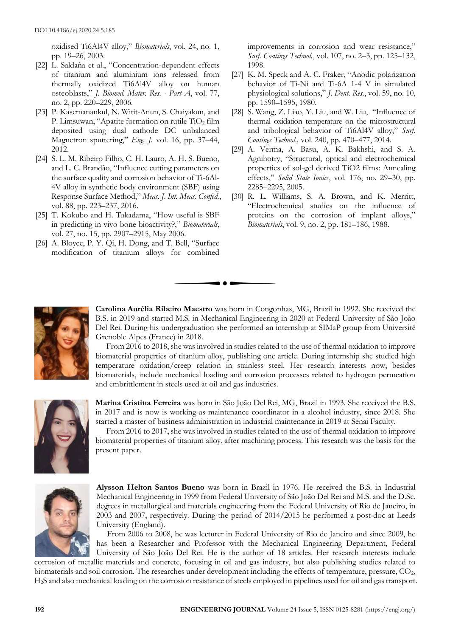oxidised Ti6Al4V alloy," *Biomaterials*, vol. 24, no. 1, pp. 19–26, 2003.

- [22] L. Saldaña et al., "Concentration-dependent effects of titanium and aluminium ions released from thermally oxidized Ti6Al4V alloy on human osteoblasts," *J. Biomed. Mater. Res. - Part A*, vol. 77, no. 2, pp. 220–229, 2006.
- [23] P. Kasemanankul, N. Witit-Anun, S. Chaiyakun, and P. Limsuwan, "Apatite formation on rutile TiO<sub>2</sub> film deposited using dual cathode DC unbalanced Magnetron sputtering," *Eng. J.* vol. 16, pp. 37–44, 2012.
- [24] S. L. M. Ribeiro Filho, C. H. Lauro, A. H. S. Bueno, and L. C. Brandão, "Influence cutting parameters on the surface quality and corrosion behavior of Ti-6Al-4V alloy in synthetic body environment (SBF) using Response Surface Method," *Meas. J. Int. Meas. Confed.*, vol. 88, pp. 223–237, 2016.
- [25] T. Kokubo and H. Takadama, "How useful is SBF in predicting in vivo bone bioactivity?," *Biomaterials*, vol. 27, no. 15, pp. 2907–2915, May 2006.
- [26] A. Bloyce, P. Y. Qi, H. Dong, and T. Bell, "Surface modification of titanium alloys for combined

improvements in corrosion and wear resistance," *Surf. Coatings Technol.*, vol. 107, no. 2–3, pp. 125–132, 1998.

- [27] K. M. Speck and A. C. Fraker, "Anodic polarization behavior of Ti-Ni and Ti-6A 1-4 V in simulated physiological solutions," *J. Dent. Res.*, vol. 59, no. 10, pp. 1590–1595, 1980.
- [28] S. Wang, Z. Liao, Y. Liu, and W. Liu, "Influence of thermal oxidation temperature on the microstructural and tribological behavior of Ti6Al4V alloy," *Surf. Coatings Technol.,* vol. 240, pp. 470–477, 2014.
- [29] A. Verma, A. Basu, A. K. Bakhshi, and S. A. Agnihotry, "Structural, optical and electrochemical properties of sol-gel derived TiO2 films: Annealing effects," *Solid State Ionics*, vol. 176, no. 29–30, pp. 2285–2295, 2005.
- [30] R. L. Williams, S. A. Brown, and K. Merritt, "Electrochemical studies on the influence of proteins on the corrosion of implant alloys," *Biomaterials*, vol. 9, no. 2, pp. 181–186, 1988.



**Carolina Aurélia Ribeiro Maestro** was born in Congonhas, MG, Brazil in 1992. She received the B.S. in 2019 and started M.S. in Mechanical Engineering in 2020 at Federal University of São João Del Rei. During his undergraduation she performed an internship at SIMaP group from Université Grenoble Alpes (France) in 2018.

From 2016 to 2018, she was involved in studies related to the use of thermal oxidation to improve biomaterial properties of titanium alloy, publishing one article. During internship she studied high temperature oxidation/creep relation in stainless steel. Her research interests now, besides biomaterials, include mechanical loading and corrosion processes related to hydrogen permeation and embrittlement in steels used at oil and gas industries.



**Marina Cristina Ferreira** was born in São João Del Rei, MG, Brazil in 1993. She received the B.S. in 2017 and is now is working as maintenance coordinator in a alcohol industry, since 2018. She started a master of business administration in industrial maintenance in 2019 at Senai Faculty.

From 2016 to 2017, she was involved in studies related to the use of thermal oxidation to improve biomaterial properties of titanium alloy, after machining process. This research was the basis for the present paper.



**Alysson Helton Santos Bueno** was born in Brazil in 1976. He received the B.S. in Industrial Mechanical Engineering in 1999 from Federal University of São João Del Rei and M.S. and the D.Sc. degrees in metallurgical and materials engineering from the Federal University of Rio de Janeiro, in 2003 and 2007, respectively. During the period of 2014/2015 he performed a post-doc at Leeds University (England).

From 2006 to 2008, he was lecturer in Federal University of Rio de Janeiro and since 2009, he has been a Researcher and Professor with the Mechanical Engineering Department, Federal University of São João Del Rei. He is the author of 18 articles. Her research interests include

corrosion of metallic materials and concrete, focusing in oil and gas industry, but also publishing studies related to biomaterials and soil corrosion. The researches under development including the effects of temperature, pressure, CO2, H2S and also mechanical loading on the corrosion resistance of steels employed in pipelines used for oil and gas transport.